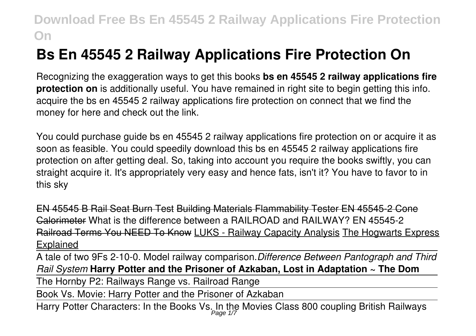# **Bs En 45545 2 Railway Applications Fire Protection On**

Recognizing the exaggeration ways to get this books **bs en 45545 2 railway applications fire protection on** is additionally useful. You have remained in right site to begin getting this info. acquire the bs en 45545 2 railway applications fire protection on connect that we find the money for here and check out the link.

You could purchase guide bs en 45545 2 railway applications fire protection on or acquire it as soon as feasible. You could speedily download this bs en 45545 2 railway applications fire protection on after getting deal. So, taking into account you require the books swiftly, you can straight acquire it. It's appropriately very easy and hence fats, isn't it? You have to favor to in this sky

EN 45545 B Rail Seat Burn Test Building Materials Flammability Tester EN 45545-2 Cone Calorimeter What is the difference between a RAILROAD and RAILWAY? EN 45545-2 Railroad Terms You NEED To Know LUKS - Railway Capacity Analysis The Hogwarts Express Explained

A tale of two 9Fs 2-10-0. Model railway comparison.*Difference Between Pantograph and Third Rail System* **Harry Potter and the Prisoner of Azkaban, Lost in Adaptation ~ The Dom**

The Hornby P2: Railways Range vs. Railroad Range

Book Vs. Movie: Harry Potter and the Prisoner of Azkaban

Harry Potter Characters: In the Books Vs. In the Movies Class 800 coupling British Railways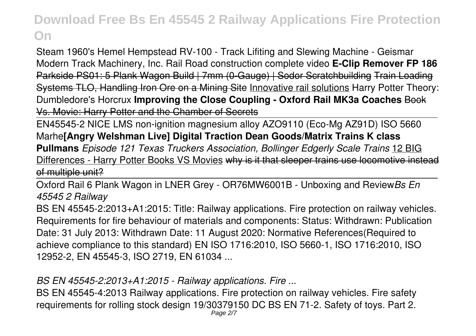Steam 1960's Hemel Hempstead RV-100 - Track Lifiting and Slewing Machine - Geismar Modern Track Machinery, Inc. Rail Road construction complete video **E-Clip Remover FP 186** Parkside PS01: 5 Plank Wagon Build | 7mm (0-Gauge) | Sodor Scratchbuilding Train Loading Systems TLO, Handling Iron Ore on a Mining Site Innovative rail solutions Harry Potter Theory: Dumbledore's Horcrux **Improving the Close Coupling - Oxford Rail MK3a Coaches** Book Vs. Movie: Harry Potter and the Chamber of Secrets

EN45545-2 NICE LMS non-ignition magnesium alloy AZO9110 (Eco-Mg AZ91D) ISO 5660 Marhe**[Angry Welshman Live] Digital Traction Dean Goods/Matrix Trains K class Pullmans** *Episode 121 Texas Truckers Association, Bollinger Edgerly Scale Trains* 12 BIG Differences - Harry Potter Books VS Movies why is it that sleeper trains use locomotive instead of multiple unit?

Oxford Rail 6 Plank Wagon in LNER Grey - OR76MW6001B - Unboxing and Review*Bs En 45545 2 Railway*

BS EN 45545-2:2013+A1:2015: Title: Railway applications. Fire protection on railway vehicles. Requirements for fire behaviour of materials and components: Status: Withdrawn: Publication Date: 31 July 2013: Withdrawn Date: 11 August 2020: Normative References(Required to achieve compliance to this standard) EN ISO 1716:2010, ISO 5660-1, ISO 1716:2010, ISO 12952-2, EN 45545-3, ISO 2719, EN 61034 ...

*BS EN 45545-2:2013+A1:2015 - Railway applications. Fire ...*

BS EN 45545-4:2013 Railway applications. Fire protection on railway vehicles. Fire safety requirements for rolling stock design 19/30379150 DC BS EN 71-2. Safety of toys. Part 2.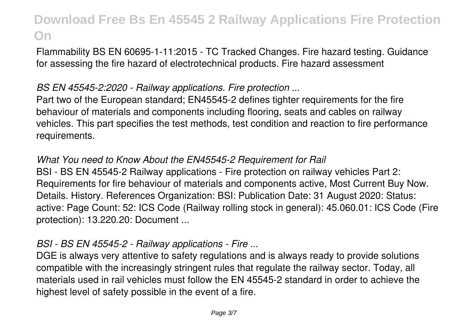Flammability BS EN 60695-1-11:2015 - TC Tracked Changes. Fire hazard testing. Guidance for assessing the fire hazard of electrotechnical products. Fire hazard assessment

### *BS EN 45545-2:2020 - Railway applications. Fire protection ...*

Part two of the European standard; EN45545-2 defines tighter requirements for the fire behaviour of materials and components including flooring, seats and cables on railway vehicles. This part specifies the test methods, test condition and reaction to fire performance requirements.

### *What You need to Know About the EN45545-2 Requirement for Rail*

BSI - BS EN 45545-2 Railway applications - Fire protection on railway vehicles Part 2: Requirements for fire behaviour of materials and components active, Most Current Buy Now. Details. History. References Organization: BSI: Publication Date: 31 August 2020: Status: active: Page Count: 52: ICS Code (Railway rolling stock in general): 45.060.01: ICS Code (Fire protection): 13.220.20: Document ...

### *BSI - BS EN 45545-2 - Railway applications - Fire ...*

DGE is always very attentive to safety regulations and is always ready to provide solutions compatible with the increasingly stringent rules that regulate the railway sector. Today, all materials used in rail vehicles must follow the EN 45545-2 standard in order to achieve the highest level of safety possible in the event of a fire.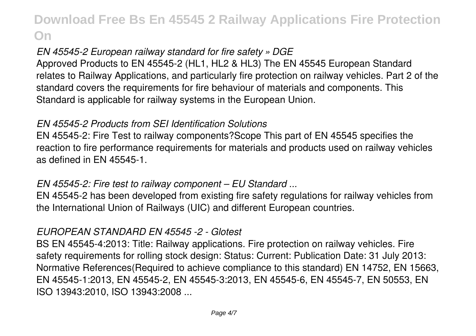## *EN 45545-2 European railway standard for fire safety » DGE*

Approved Products to EN 45545-2 (HL1, HL2 & HL3) The EN 45545 European Standard relates to Railway Applications, and particularly fire protection on railway vehicles. Part 2 of the standard covers the requirements for fire behaviour of materials and components. This Standard is applicable for railway systems in the European Union.

### *EN 45545-2 Products from SEI Identification Solutions*

EN 45545-2: Fire Test to railway components?Scope This part of EN 45545 specifies the reaction to fire performance requirements for materials and products used on railway vehicles as defined in EN 45545-1.

### *EN 45545-2: Fire test to railway component – EU Standard ...*

EN 45545-2 has been developed from existing fire safety regulations for railway vehicles from the International Union of Railways (UIC) and different European countries.

#### *EUROPEAN STANDARD EN 45545 -2 - Glotest*

BS EN 45545-4:2013: Title: Railway applications. Fire protection on railway vehicles. Fire safety requirements for rolling stock design: Status: Current: Publication Date: 31 July 2013: Normative References(Required to achieve compliance to this standard) EN 14752, EN 15663, EN 45545-1:2013, EN 45545-2, EN 45545-3:2013, EN 45545-6, EN 45545-7, EN 50553, EN ISO 13943:2010, ISO 13943:2008 ...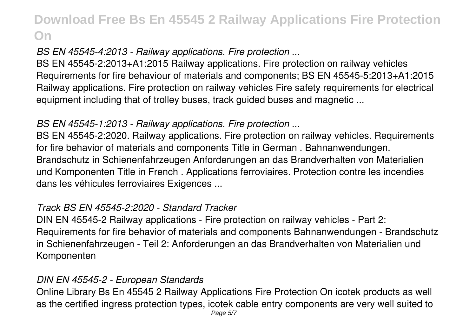## *BS EN 45545-4:2013 - Railway applications. Fire protection ...*

BS EN 45545-2:2013+A1:2015 Railway applications. Fire protection on railway vehicles Requirements for fire behaviour of materials and components; BS EN 45545-5:2013+A1:2015 Railway applications. Fire protection on railway vehicles Fire safety requirements for electrical equipment including that of trolley buses, track guided buses and magnetic ...

## *BS EN 45545-1:2013 - Railway applications. Fire protection ...*

BS EN 45545-2:2020. Railway applications. Fire protection on railway vehicles. Requirements for fire behavior of materials and components Title in German . Bahnanwendungen. Brandschutz in Schienenfahrzeugen Anforderungen an das Brandverhalten von Materialien und Komponenten Title in French . Applications ferroviaires. Protection contre les incendies dans les véhicules ferroviaires Exigences ...

### *Track BS EN 45545-2:2020 - Standard Tracker*

DIN EN 45545-2 Railway applications - Fire protection on railway vehicles - Part 2: Requirements for fire behavior of materials and components Bahnanwendungen - Brandschutz in Schienenfahrzeugen - Teil 2: Anforderungen an das Brandverhalten von Materialien und Komponenten

#### *DIN EN 45545-2 - European Standards*

Online Library Bs En 45545 2 Railway Applications Fire Protection On icotek products as well as the certified ingress protection types, icotek cable entry components are very well suited to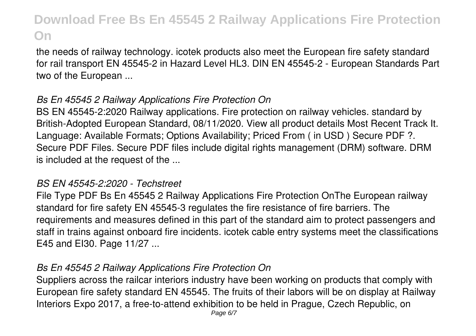the needs of railway technology. icotek products also meet the European fire safety standard for rail transport EN 45545-2 in Hazard Level HL3. DIN EN 45545-2 - European Standards Part two of the European ...

### *Bs En 45545 2 Railway Applications Fire Protection On*

BS EN 45545-2:2020 Railway applications. Fire protection on railway vehicles. standard by British-Adopted European Standard, 08/11/2020. View all product details Most Recent Track It. Language: Available Formats; Options Availability; Priced From ( in USD ) Secure PDF ?. Secure PDF Files. Secure PDF files include digital rights management (DRM) software. DRM is included at the request of the ...

#### *BS EN 45545-2:2020 - Techstreet*

File Type PDF Bs En 45545 2 Railway Applications Fire Protection OnThe European railway standard for fire safety EN 45545-3 regulates the fire resistance of fire barriers. The requirements and measures defined in this part of the standard aim to protect passengers and staff in trains against onboard fire incidents. icotek cable entry systems meet the classifications E45 and EI30. Page 11/27 ...

#### *Bs En 45545 2 Railway Applications Fire Protection On*

Suppliers across the railcar interiors industry have been working on products that comply with European fire safety standard EN 45545. The fruits of their labors will be on display at Railway Interiors Expo 2017, a free-to-attend exhibition to be held in Prague, Czech Republic, on